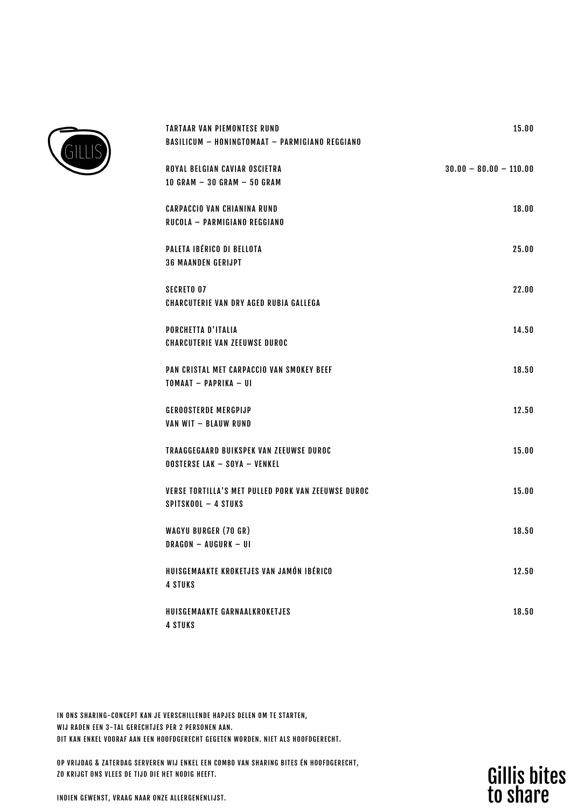

| <b>TARTAAR VAN PIEMONTESE RUND</b><br><b>BASILICUM - HONINGTOMAAT - PARMIGIANO REGGIANO</b> | 15.00                    |
|---------------------------------------------------------------------------------------------|--------------------------|
| ROYAL BELGIAN CAVIAR OSCIETRA<br>10 GRAM $-$ 30 GRAM $-$ 50 GRAM                            | $30.00 - 80.00 - 110.00$ |
| <b>CARPACCIO VAN CHIANINA RUND</b><br>RUCOLA - PARMIGIANO REGGIANO                          | 18.00                    |
| PALETA IBÉRICO DI BELLOTA<br><b>36 MAANDEN GERIJPT</b>                                      | 25.00                    |
| <b>SECRETO 07</b><br><b>CHARCUTERIE VAN DRY AGED RUBIA GALLEGA</b>                          | 22.00                    |
| PORCHETTA D'ITALIA<br><b>CHARCUTERIE VAN ZEEUWSE DUROC</b>                                  | 14.50                    |
| PAN CRISTAL MET CARPACCIO VAN SMOKEY BEEF<br>TOMAAT - PAPRIKA - UI                          | 18.50                    |
| <b>GEROOSTERDE MERGPIJP</b><br>VAN WIT - BLAUW RUND                                         | 12.50                    |
| TRAAGGEGAARD BUIKSPEK VAN ZEEUWSE DUROC<br><b>OOSTERSE LAK - SOYA - VENKEL</b>              | 15.00                    |
| VERSE TORTILLA'S MET PULLED PORK VAN ZEEUWSE DUROC<br>SPITSKOOL - 4 STUKS                   | 15.00                    |
| <b>WAGYU BURGER (70 GR)</b><br>DRAGON - AUGURK - UI                                         | 18.50                    |
| HUISGEMAAKTE KROKETJES VAN JAMÓN IBÉRICO<br><b>4 STUKS</b>                                  | 12.50                    |
| HUISGEMAAKTE GARNAALKROKETJES<br><b>4 STUKS</b>                                             | 18.50                    |

IN ONS SHARING-CONCEPT KAN JE VERSCHILLENDE HAPJES DELEN OM TE STARTEN, WIJ RADEN EEN 3-TAL GERECHTJES PER 2 PERSONEN AAN. DIT KAN ENKEL VOORAF AAN EEN HOOFDGERECHT GEGETEN WORDEN. NIET ALS HOOFDGERECHT.

OP VRIJDAG & ZATERDAG SERVEREN WIJ ENKEL EEN COMBO VAN SHARING BITES ÉN HOOFDGERECHT, ZO KRIJGT ONS VLEES DE TIJD DIE HET NODIG HEEFT.